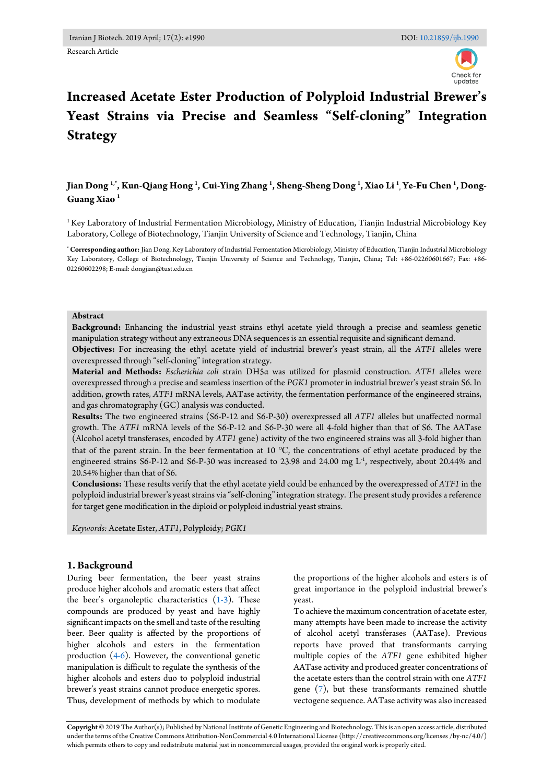# **Increased Acetate Ester Production of Polyploid Industrial Brewer's Yeast Strains via Precise and Seamless "Self-cloning" Integration Strategy**

# **Jian Dong 1,\*, Kun-Qiang Hong <sup>1</sup> , Cui-Ying Zhang <sup>1</sup> , Sheng-Sheng Dong <sup>1</sup> , Xiao Li <sup>1</sup> , Ye-Fu Chen <sup>1</sup> , Dong-Guang Xiao <sup>1</sup>**

<sup>1</sup> Key Laboratory of Industrial Fermentation Microbiology, Ministry of Education, Tianjin Industrial Microbiology Key Laboratory, College of Biotechnology, Tianjin University of Science and Technology, Tianjin, China

**\* Corresponding author:** Jian Dong, Key Laboratory of Industrial Fermentation Microbiology, Ministry of Education, Tianjin Industrial Microbiology Key Laboratory, College of Biotechnology, Tianjin University of Science and Technology, Tianjin, China; Tel: +86-02260601667; Fax: +86- 02260602298; E-mail: dongjian@tust.edu.cn

#### **Abstract**

**Background:** Enhancing the industrial yeast strains ethyl acetate yield through a precise and seamless genetic manipulation strategy without any extraneous DNA sequences is an essential requisite and significant demand.

**Objectives:** For increasing the ethyl acetate yield of industrial brewer's yeast strain, all the *ATF1* alleles were overexpressed through "self-cloning" integration strategy.

**Material and Methods:** *Escherichia coli* strain DH5α was utilized for plasmid construction. *ATF1* alleles were overexpressed through a precise and seamless insertion of the *PGK1* promoter in industrial brewer's yeast strain S6. In addition, growth rates, *ATF1* mRNA levels, AATase activity, the fermentation performance of the engineered strains, and gas chromatography (GC) analysis was conducted.

**Results:** The two engineered strains (S6-P-12 and S6-P-30) overexpressed all *ATF1* alleles but unaffected normal growth. The *ATF1* mRNA levels of the S6-P-12 and S6-P-30 were all 4-fold higher than that of S6. The AATase (Alcohol acetyl transferases, encoded by *ATF1* gene) activity of the two engineered strains was all 3-fold higher than that of the parent strain. In the beer fermentation at 10 ℃, the concentrations of ethyl acetate produced by the engineered strains S6-P-12 and S6-P-30 was increased to 23.98 and 24.00 mg L-1 , respectively, about 20.44% and 20.54% higher than that of S6.

**Conclusions:** These results verify that the ethyl acetate yield could be enhanced by the overexpressed of *ATF1* in the polyploid industrial brewer's yeast strains via "self-cloning" integration strategy. The present study provides a reference for target gene modification in the diploid or polyploid industrial yeast strains.

*Keywords:* Acetate Ester, *ATF1*, Polyploidy; *PGK1*

# **1. Background**

During beer fermentation, the beer yeast strains produce higher alcohols and aromatic esters that affect the beer's organoleptic characteristics  $(1-3)$ . These compounds are produced by yeast and have highly significant impacts on the smell and taste of the resulting beer. Beer quality is affected by the proportions of higher alcohols and esters in the fermentation production [\(4-6\)](#page-6-1). However, the conventional genetic manipulation is difficult to regulate the synthesis of the higher alcohols and esters duo to polyploid industrial brewer's yeast strains cannot produce energetic spores. Thus, development of methods by which to modulate

the proportions of the higher alcohols and esters is of great importance in the polyploid industrial brewer's yeast.

To achieve the maximum concentration of acetate ester, many attempts have been made to increase the activity of alcohol acetyl transferases (AATase). Previous reports have proved that transformants carrying multiple copies of the *ATF1* gene exhibited higher AATase activity and produced greater concentrations of the acetate esters than the control strain with one *ATF1* gene [\(7\)](#page-6-2), but these transformants remained shuttle vectogene sequence. AATase activity was also increased

**Copyright ©** 2019 The Author(s); Published by National Institute of Genetic Engineering and Biotechnology. This is an open access article, distributed under the terms of the Creative Commons Attribution-NonCommercial 4.0 International License (http://creativecommons.org/licenses /by-nc/4.0/) which permits others to copy and redistribute material just in noncommercial usages, provided the original work is properly cited.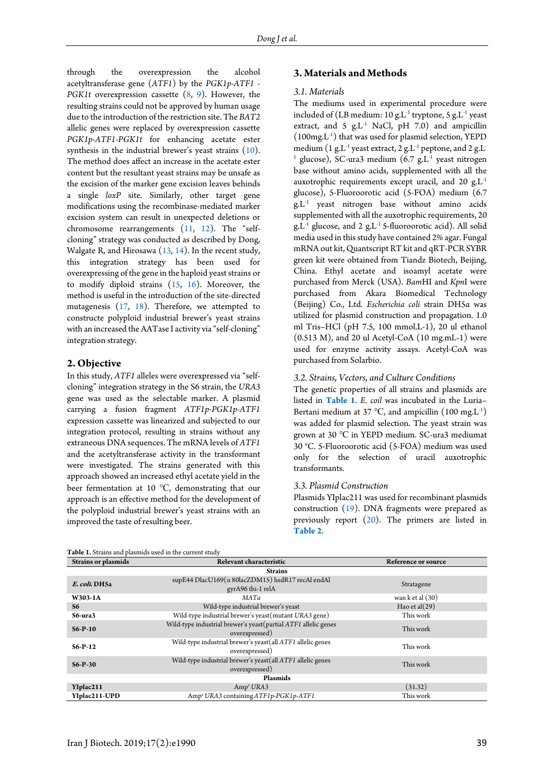through the overexpression the alcohol acetyltransferase gene (*ATF1*) by the *PGK1p-ATF1* - *PGK1t* overexpression cassette [\(8,](#page-6-3) [9\)](#page-6-4). However, the resulting strains could not be approved by human usage due to the introduction of the restriction site. The *BAT2*  allelic genes were replaced by overexpression cassette *PGK1p-ATF1*-*PGK1t* for enhancing acetate ester synthesis in the industrial brewer's yeast strains [\(10\)](#page-6-5). The method does affect an increase in the acetate ester content but the resultant yeast strains may be unsafe as the excision of the marker gene excision leaves behinds a single *loxP* site. Similarly, other target gene modifications using the recombinase-mediated marker excision system can result in unexpected deletions or chromosome rearrangements [\(11,](#page-6-6) [12\)](#page-6-7). The "selfcloning" strategy was conducted as described by Dong, Walgate R, and Hirosawa [\(13,](#page-6-8) [14\)](#page-6-9). In the recent study, this integration strategy has been used for overexpressing of the gene in th[e haploid](file:///C:/Users/HP/AppData/Local/Youdao/Dict/Application/6.3.69.8341/resultui/frame/javascript:void(0);) yeast strains or to modify diploid strains [\(15,](#page-6-10) [16\)](#page-6-11). Moreover, the method is useful in the introduction of the site-directed mutagenesis [\(17,](#page-6-12) [18\)](#page-6-13). Therefore, we attempted to constructe polyploid industrial brewer's yeast strains with an increased the AATase I activity via "self-cloning" integration strategy.

# **2. Objective**

In this study, *ATF1* alleles were overexpressed via "selfcloning" integration strategy in the S6 strain, the *URA3*  gene was used as the selectable marker. A plasmid carrying a fusion fragment *ATF1p-PGK1p-ATF1* expression cassette was linearized and subjected to our integration protocol, resulting in strains without any extraneous DNA sequences. The mRNA levels of *ATF1* and the acetyltransferase activity in the transformant were investigated. The strains generated with this approach showed an increased ethyl acetate yield in the beer fermentation at 10 ℃, demonstrating that our approach is an effective method for the development of the polyploid industrial brewer's yeast strains with an improved the taste of resulting beer.

# **3. Materials and Methods**

#### *3.1. Materials*

The mediums used in experimental procedure were included of (LB medium:  $10 \text{ g.L}^{-1}$  tryptone,  $5 \text{ g.L}^{-1}$  yeast extract, and 5  $g.L^{-1}$  NaCl, pH 7.0) and ampicillin  $(100mg.L^{-1})$  that was used for plasmid selection, YEPD medium  $(1$  g.L $^{\text{-}1}$  yeast extract, 2 g.L $^{\text{-}1}$  peptone, and 2 g.L $^{\text{-}}$  $^1$  glucose), SC-ura3 medium (6.7 g.L $^{-1}$  yeast nitrogen base without amino acids, supplemented with all the auxotrophic requirements except uracil, and 20 g.L-1 glucose), 5-Fluoroorotic acid (5-FOA) medium (6.7 g.L-1 yeast nitrogen base without amino acids supplemented with all the auxotrophic requirements, 20 g.L-1 glucose, and 2 g.L-1 5-fluoroorotic acid). All solid media used in this study have contained 2% agar. Fungal mRNA out kit, Quantscript RT kit and qRT-PCR SYBR green kit were obtained from Tiandz Biotech, Beijing, China. Ethyl acetate and isoamyl acetate were purchased from Merck (USA). *Bam*HI and *Kpn*I were purchased from Akara Biomedical Technology (Beijing) Co., Ltd. *Escherichia coli* strain DH5α was utilized for plasmid construction and propagation. 1.0 ml Tris–HCl (pH 7.5, 100 mmol.L-1), 20 ul ethanol  $(0.513 \text{ M})$ , and 20 ul Acetyl-CoA  $(10 \text{ mg.mL-1})$  were used for enzyme activity assays*.* Acetyl-CoA was purchased from Solarbio.

#### *3.2. Strains, Vectors, and Culture Conditions*

The genetic properties of all strains and plasmids are listed in **[Table 1](#page-1-0)**. *E. coil* was incubated in the Luria– Bertani medium at 37 °C, and ampicillin  $(100 \text{ mg.L}^{-1})$ was added for plasmid selection. The yeast strain was grown at 30 ℃ in YEPD medium. SC-ura3 mediumat 30 °C. 5-Fluoroorotic acid (5-FOA) medium was used only for the selection of uracil auxotrophic transformants.

#### *3.3. Plasmid Construction*

Plasmids YIplac211 was used for recombinant plasmids construction [\(19\)](#page-6-14). DNA [fragments](file:///C:/Users/HP/AppData/Local/Youdao/Dict/Application/6.3.69.8341/resultui/frame/javascript:void(0);) were prepared as previously report [\(20\)](#page-6-15). The primers are listed in **[Table 2](#page-2-0)**.

<span id="page-1-0"></span>**Table 1.** Strains and plasmids used in the current study

| <b>Strains or plasmids</b> | <b>Relevant characteristic</b>                                                            | <b>Reference or source</b> |  |  |
|----------------------------|-------------------------------------------------------------------------------------------|----------------------------|--|--|
| <b>Strains</b>             |                                                                                           |                            |  |  |
| E. coli. DH5a              | supE44 DlacU169(u 80lacZDM15) hsdR17 recAl endAl<br>gyrA96 thi-1 relA                     | Stratagene                 |  |  |
| W303-1A                    | MATa                                                                                      | wan $k$ et al $(30)$       |  |  |
| <b>S6</b>                  | Wild-type industrial brewer's yeast<br>Hao et al $(29)$                                   |                            |  |  |
| S6-ura3                    | Wild-type industrial brewer's yeast (mutant URA3 gene)                                    | This work                  |  |  |
| $S6-P-10$                  | Wild-type industrial brewer's yeast (partial ATF1 allelic genes<br>overexpressed)         | This work                  |  |  |
| $S6-P-12$                  | Wild-type industrial brewer's yeast(all ATF1 allelic genes<br>This work<br>overexpressed) |                            |  |  |
| $S6-P-30$                  | Wild-type industrial brewer's yeast(all ATF1 allelic genes<br>overexpressed)              | This work                  |  |  |
| <b>Plasmids</b>            |                                                                                           |                            |  |  |
| YIplac211                  | Amp <sup>r</sup> URA3                                                                     | (31.32)                    |  |  |
| YIplac211-UPD              | Amp <sup>r</sup> URA3 containing ATF1p-PGK1p-ATF1<br>This work                            |                            |  |  |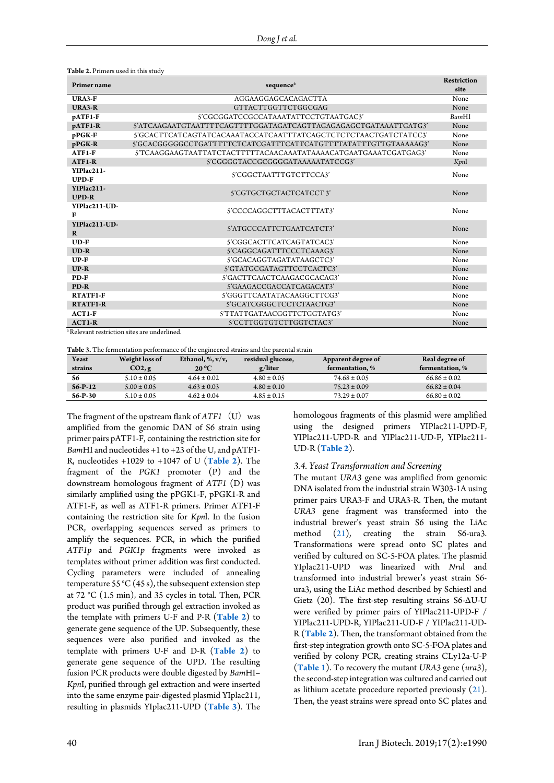<span id="page-2-0"></span>**Table 2.** Primers used in this study

| <b>Primer name</b>                                      |                                                                 |              |  |
|---------------------------------------------------------|-----------------------------------------------------------------|--------------|--|
|                                                         | sequence <sup>a</sup>                                           |              |  |
| URA3-F                                                  | AGGAAGGAGCACAGACTTA                                             | None         |  |
| <b>URA3-R</b>                                           | GTTACTTGGTTCTGGCGAG                                             | None         |  |
| pATF1-F                                                 | S'CGCGGATCCGCCATAAATATTCCTGTAATGAC3'                            | <b>BamHI</b> |  |
| pATF1-R                                                 |                                                                 | None         |  |
| pPGK-F                                                  |                                                                 | None         |  |
| pPGK-R                                                  | 5'GCACGGGGGCCTGATTTTTCTCATCGATTTCATTCATGTTTTATATTTGTTGTAAAAAG3' | None         |  |
| ATF1-F                                                  |                                                                 | None         |  |
| ATF1-R                                                  | S'CGGGGTACCGCGGGGATAAAAATATCCG3'                                | Kpnl         |  |
| YIPlac211-<br><b>UPD-F</b>                              | S'CGGCTAATTTGTCTTCCA3'                                          | None         |  |
| YIPlac211-<br><b>UPD-R</b>                              | S'CGTGCTGCTACTCATCCT3'                                          | None         |  |
| YIPlac211-UD-<br>F                                      | S'CCCCAGGCTTTACACTTTAT3'                                        | None         |  |
| YIPlac211-UD-<br>$\bf{R}$                               | S'ATGCCCATTCTGAATCATCT3'                                        | None         |  |
| $UD-F$                                                  | S'CGGCACTTCATCAGTATCAC3'                                        | None         |  |
| $UD-R$                                                  | S'CAGGCAGATTTCCCTCAAAG3'                                        | None         |  |
| $UP-F$                                                  | S'GCACAGGTAGATATAAGCTC3'                                        | None         |  |
| $UP-R$                                                  | S'GTATGCGATAGTTCCTCACTC3'                                       | None         |  |
| PD-F                                                    | 5'GACTTCAACTCAAGACGCACAG3'                                      | None         |  |
| PD-R                                                    | 5'GAAGACCGACCATCAGACAT3'                                        | None         |  |
| RTATF1-F                                                | S'GGGTTCAATATACAAGGCTTCG3'                                      | None         |  |
| <b>RTATF1-R</b>                                         | 5'GCATCGGGCTCCTCTAACTG3'                                        | None         |  |
| $ACT1-F$                                                | 5'TTATTGATAACGGTTCTGGTATG3'                                     | None         |  |
| $ACT1-R$                                                | S'CCTTGGTGTCTTGGTCTAC3'                                         | None         |  |
| <sup>a</sup> Relevant restriction sites are underlined. |                                                                 |              |  |

**Table 3.** The fermentation performance of the engineered strains and the parental strain

| Yeast     | Weight loss of  | Ethanol, $\%$ , $v/v$ , | residual glucose, | Apparent degree of | Real degree of   |
|-----------|-----------------|-------------------------|-------------------|--------------------|------------------|
| strains   | CO2, g          | $20^{\circ}$ C          | g/liter           | fermentation.%     | fermentation.%   |
| S6        | $5.10 \pm 0.05$ | $4.64 \pm 0.02$         | $4.80 \pm 0.05$   | $74.68 \pm 0.05$   | $66.86 \pm 0.02$ |
| $S6-P-12$ | $5.00 \pm 0.05$ | $4.63 \pm 0.03$         | $4.80 \pm 0.10$   | $75.23 \pm 0.09$   | $66.82 \pm 0.04$ |
| $S6-P-30$ | $5.10 \pm 0.05$ | $4.62 \pm 0.04$         | $4.85 \pm 0.15$   | $73.29 \pm 0.07$   | $66.80 \pm 0.02$ |

The fragment of the upstream flank of *ATF1* (U) was amplified from the genomic DAN of S6 strain using primer pairs pATF1-F, containing the restriction site for *Bam*HI and nucleotides +1 to +23 of the U, and pATF1- R, nucleotides +1029 to +1047 of U (**[Table 2](#page-2-0)**). The fragment of the *PGK1* promoter (P) and the downstream homologous fragment of *ATF1* (D) was similarly amplified using the pPGK1-F, pPGK1-R and ATF1-F, as well as ATF1-R primers. Primer ATF1-F containing the restriction site for *Kpn*l. In the fusion PCR, overlapping sequences served as primers to amplify the sequences. PCR, in which the purified *ATF1p* and *PGK1p* fragments were invoked as templates without primer addition was first conducted. Cycling parameters were included of annealing temperature 55 °C (45 s), the subsequent extension step at 72 °C (1.5 min), and 35 cycles in total. Then, PCR product was purified through gel extraction invoked as the template with primers U-F and P-R (**[Table 2](#page-2-0)**) to generate gene sequence of the UP. Subsequently, these sequences were also purified and invoked as the template with primers U-F and D-R (**[Table 2](#page-2-0)**) to generate gene sequence of the UPD. The resulting fusion PCR products were double digested by *Bam*HI– *Kpn*I, purified through gel extraction and were inserted into the same enzyme pair-digested plasmid YIplac211, resulting in plasmids YIplac211-UPD (**[Table 3](#page-2-1)**). The homologous fragments of this plasmid were amplified using the designed primers YIPlac211-UPD-F, YIPlac211-UPD-R and YIPlac211-UD-F, YIPlac211- UD-R (**[Table 2](#page-2-0)**).

#### <span id="page-2-1"></span>*3.4. Yeast Transformation and Screening*

The mutant *URA3* gene was amplified from genomic DNA isolated from the industrial strain W303-1A using primer pairs URA3-F and URA3-R. Then, the mutant *URA3* gene fragment was transformed into the industrial brewer's yeast strain S6 using the LiAc method [\(21\)](#page-6-16), creating the strain S6-ura3. Transformations were spread onto SC plates and verified by cultured on SC-5-FOA plates. The plasmid YIplac211-UPD was linearized with *Nru*l and transformed into industrial brewer's yeast strain S6 ura3, using the LiAc method described by Schiestl and Gietz (20). The first-step resulting strains S6-ΔU-U were verified by primer pairs of YIPlac211-UPD-F / YIPlac211-UPD-R, YIPlac211-UD-F / YIPlac211-UD-R (**[Table 2](#page-2-0)**). Then, the transformant obtained from the first-step integration growth onto SC-5-FOA plates and verified by colony PCR, creating strains CLy12a-U-P (**[Table 1](#page-1-0)**). To recovery the mutant *URA3* gene (*ura3*), the second-step integration was cultured and carried out as lithium acetate procedure reported previously [\(21\)](#page-6-16). Then, the yeast strains were spread onto SC plates and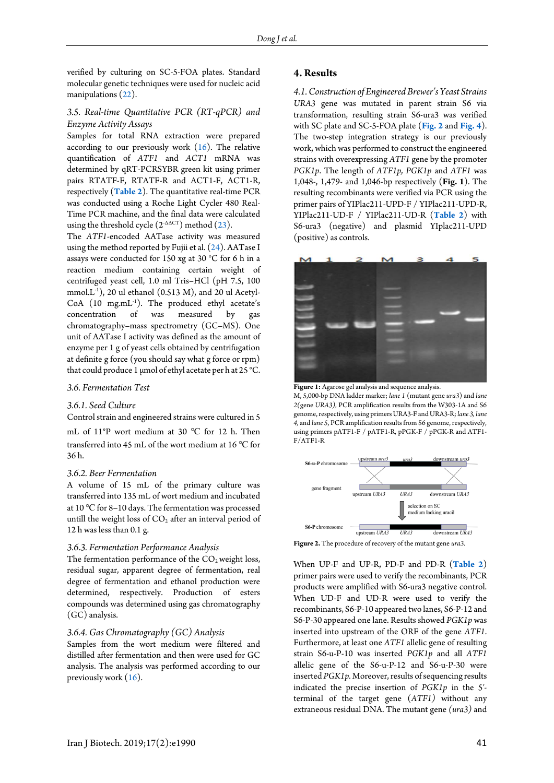verified by culturing on SC-5-FOA plates. Standard molecular genetic techniques were used for nucleic acid manipulations [\(22\)](#page-6-17).

# *3.5. Real-time Quantitative PCR (RT-qPCR) and Enzyme Activity Assays*

Samples for total RNA extraction were prepared according to our previously work [\(16\)](#page-6-11). The relative quantification of *ATF1* and *ACT1* mRNA was determined by qRT-PCRSYBR green kit using primer pairs RTATF-F, RTATF-R and ACT1-F, ACT1-R, respectively (**[Table 2](#page-2-0)**). The quantitative real-time PCR was conducted using a Roche Light Cycler 480 Real-Time PCR machine, and the final data were calculated using the threshold cycle  $(2<sup>-\Delta</sup>ACT)$  method  $(23)$ .

The *ATF1*-encoded AATase activity was measured using the method reported by Fujii et al. [\(24\)](#page-7-0). AATase I assays were conducted for 150 xg at 30 °C for 6 h in a reaction medium containing certain weight of centrifuged yeast cell, 1.0 ml Tris–HCl (pH 7.5, 100 mmol.L-1 ), 20 ul ethanol (0.513 M), and 20 ul Acetyl- $CoA$  (10 mg.mL $^{-1}$ ). The produced ethyl acetate's concentration of was measured by gas chromatography–mass spectrometry (GC–MS). One unit of AATase I activity was defined as the amount of enzyme per 1 g of yeast cells obtained by centrifugation at definite g force (you should say what g force or rpm) that could produce 1 μmol of ethyl acetate per h at 25 °C.

### *3.6. Fermentation Test*

### *3.6.1. Seed Culture*

Control strain and engineered strains were cultured in 5 mL of 11○P wort medium at 30 ℃ for 12 h. Then transferred into 45 mL of the wort medium at 16 ℃ for 36 h.

#### *3.6.2. Beer Fermentation*

A volume of 15 mL of the primary culture was transferred into 135 mL of wort medium and incubated at 10 ℃ for 8–10 days. The fermentation was processed untill the weight loss of  $CO<sub>2</sub>$  after an interval period of 12 h was less than 0.1 g.

#### *3.6.3. Fermentation Performance Analysis*

The fermentation performance of the  $CO<sub>2</sub>$  weight loss, residual sugar, apparent degree of fermentation, real degree of fermentation and ethanol production were determined, respectively. Production of esters compounds was determined using gas chromatography (GC) analysis.

# *3.6.4. Gas Chromatography (GC) Analysis*

Samples from the wort medium were filtered and distilled after fermentation and then were used for GC analysis. The analysis was performed according to our previously work [\(16\)](#page-6-11).

### **4. Results**

*4.1. Construction of Engineered Brewer's Yeast Strains URA3* gene was mutated in parent strain S6 via transformation, resulting strain S6-ura3 was verified with SC plate and SC-5-FOA plate (**Fig. 2** and **[Fig. 4](#page-4-0)**). The two-step integration strategy is our previously work, which was performed to construct the engineered strains with overexpressing *ATF1* gene by the promoter *PGK1p*. The length of *ATF1p, PGK1p* and *ATF1* was 1,048-, 1,479- and 1,046-bp respectively (**Fig. 1**). The resulting recombinants were verified via PCR using the primer pairs of YIPlac211-UPD-F / YIPlac211-UPD-R, YIPlac211-UD-F / YIPlac211-UD-R (**[Table 2](#page-2-0)**) with S6-ura3 (negative) and plasmid YIplac211-UPD (positive) as controls.



Figure 1: Agarose gel analysis and sequence analysis.

M, 5,000-bp DNA ladder marker; *lane 1* (mutant gene *ura3*) and *lane 2(*gene *URA3),* PCR amplification results from the W303-1A and S6 genome, respectively, using primers URA3-F and URA3-R; *lane 3, lane 4,* and *lane 5*, PCR amplification results from S6 genome, respectively, using primers pATF1-F / pATF1-R, pPGK-F / pPGK-R and ATF1- F/ATF1-R



**Figure 2.** The procedure of recovery of the mutant gene *ura3.*

When UP-F and UP-R, PD-F and PD-R (**[Table](#page-2-0) 2**) primer pairs were used to verify the recombinants, PCR products were amplified with S6-ura3 negative control. When UD-F and UD-R were used to verify the recombinants, S6-P-10 appeared two lanes, S6-P-12 and S6-P-30 appeared one lane. Results showed *PGK1p* was inserted into upstream of the ORF of the gene *ATF1*. Furthermore, at least one *ATF1* allelic gene of resulting strain S6-u-P-10 was inserted *PGK1p* and all *ATF1*  allelic gene of the S6-u-P-12 and S6-u-P-30 were inserted *PGK1p.* Moreover, results of sequencing results indicated the precise insertion of *PGK1p* in the 5′ terminal of the target gene (*ATF1)* without any extraneous residual DNA. The mutant gene *(ura3)* and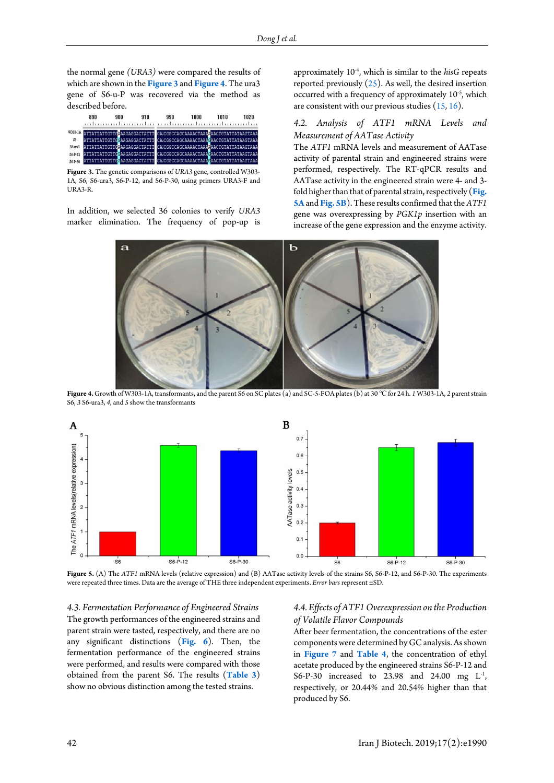the normal gene *(URA3)* were compared the results of which are shown in the **Figure 3** and **[Figure 4](#page-4-0)**. The ura3 gene of S6-u-P was recovered via the method as described before.

|               | 890 | 900 | 910 | 990 | 1000                                                                        | 1010 | 1020 |
|---------------|-----|-----|-----|-----|-----------------------------------------------------------------------------|------|------|
|               |     |     |     |     | W303-1A ATTATTATTGTTGAGGGGGGGGGTATTT CACGGCCGGGGAAAACTAAAAACTGTATTATAAGTAAA |      |      |
| S6            |     |     |     |     | ATTATTATTGTTGGAAGAGGACTATTT CAICGGCCAGCAAAACTAAAGAACTGTATTATAAGTAAA         |      |      |
| $S6 - 0.123$  |     |     |     |     | ATTATTATTGTTGDAAGAGGACTATTT CAICGGCCAGCAAAACTAAADAACTGTATTATAAGTAAA         |      |      |
| $S6 - P - 12$ |     |     |     |     | ATTATTATTGTTGGAAGAGGACTATTT CAICGGCCAGCAAAACTAAAGAACTGTATTATAAGTAAA         |      |      |
| $S6 - P - 30$ |     |     |     |     | ATTATTATTGTTGGAAGAGGACTATTT CAICGGCCAGCAAAACTAAAGAACTGTATTATAAGTAAA         |      |      |

**Figure 3.** The genetic comparisons of *URA3* gene, controlled W303- 1A, S6, S6-ura3, S6-P-12, and S6-P-30, using primers URA3-F and URA3-R.

<span id="page-4-0"></span>In addition, we selected 36 colonies to verify *URA3* marker elimination. The frequency of pop-up is approximately 10<sup>-4</sup>, which is similar to the *hisG* repeats reported previously  $(25)$ . As well, the desired insertion occurred with a frequency of approximately 10-5 , which are consistent with our previous studies  $(15, 16)$  $(15, 16)$ .

# *4.2. Analysis of ATF1 mRNA Levels and Measurement of AATase Activity*

The *ATF1* mRNA levels and measurement of AATase activity of parental strain and engineered strains were performed, respectively. The RT-qPCR results and AATase activity in the engineered strain were 4- and 3 fold higher than that of parental strain, respectively (**[Fig.](#page-4-1)  [5A](#page-4-1)** and **[Fig. 5B](#page-4-1)**). These results confirmed that the *ATF1*  gene was overexpressing by *PGK1p* insertion with an increase of the gene expression and the enzyme activity.



**Figure 4.** Growth of W303-1A, transformants, and the parent S6 on SC plates (a) and SC-5-FOA plates (b) at 30 ℃for 24 h. *1* W303-1A, *2* parent strain S6, *3* S6-ura3, *4,* and *5* show the transformants

<span id="page-4-1"></span>

**Figure 5.** (A) The *ATF1* mRNA levels (relative expression) and (B) AATase activity levels of the strains S6, S6-P-12, and S6-P-30. The experiments were repeated three times. Data are the average of THE three independent experiments. *Error bars* represent ±SD.

<span id="page-4-2"></span>*4.3. Fermentation Performance of Engineered Strains* The growth performances of the engineered strains and parent strain were tasted, respectively, and there are no any significant distinctions (**[Fig. 6](#page-4-2)**). Then, the fermentation performance of the engineered strains were performed, and results were compared with those obtained from the parent S6. The results (**[Table 3](#page-2-1)**) show no obvious distinction among the tested strains.

# *4.4. Effects of ATF1 Overexpression on the Production of Volatile Flavor Compounds*

After beer fermentation, the concentrations of the ester components were determined by GC analysis. As shown in **[Figure 7](#page-5-0)** and **[Table 4](#page-5-0)**, the concentration of ethyl acetate produced by the engineered strains S6-P-12 and S6-P-30 increased to 23.98 and 24.00 mg  $L^1$ , respectively, or 20.44% and 20.54% higher than that produced by S6.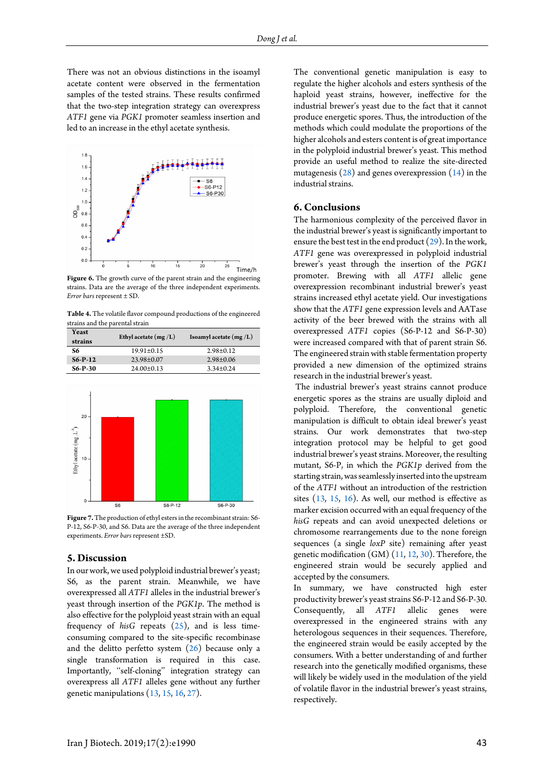There was not an obvious distinctions in the isoamyl acetate content were observed in the fermentation samples of the tested strains. These results confirmed that the two-step integration strategy can overexpress *ATF1* gene via *PGK1* promoter seamless insertion and led to an increase in the ethyl acetate synthesis.



Figure 6. The growth curve of the parent strain and the engineering strains. Data are the average of the three independent experiments. *Error bars* represent ± SD.

**Table 4.** The volatile flavor compound productions of the engineered strains and the parental strain

| Yeast<br>strains | Ethyl acetate $(mg/L)$ | Isoamyl acetate $(mg/L)$ |
|------------------|------------------------|--------------------------|
| 86               | $19.91 \pm 0.15$       | $2.98 \pm 0.12$          |
| $S6-P-12$        | $23.98 \pm 0.07$       | $2.98 \pm 0.06$          |
| $S6-P-30$        | $24.00 \pm 0.13$       | $3.34\pm0.24$            |

<span id="page-5-0"></span>

Figure 7. The production of ethyl esters in the recombinant strain: S6-P-12, S6-P-30, and S6. Data are the average of the three independent experiments. *Error bars* represent ±SD.

# **5. Discussion**

In our work, we used polyploid industrial brewer's yeast; S6, as the parent strain. Meanwhile, we have overexpressed all *ATF1* alleles in the industrial brewer's yeast through insertion of the *PGK1p*. The method is also effective for the polyploid yeast strain with an equal frequency of *hisG* repeats [\(25\)](#page-7-1), and is less timeconsuming compared to the site-specific recombinase and the delitto perfetto system  $(26)$  because only a single transformation is required in this case. Importantly, ''self-cloning'' integration strategy can overexpress all *ATF1* alleles gene without any further [genetic](file:///C:/Users/HP/AppData/Local/Youdao/Dict/Application/6.3.69.8341/resultui/frame/javascript:void(0);) [manipulations](file:///C:/Users/HP/AppData/Local/Youdao/Dict/Application/6.3.69.8341/resultui/frame/javascript:void(0);) [\(13,](#page-6-8) [15,](#page-6-10) [16,](#page-6-11) [27\)](#page-7-3).

The conventional genetic manipulation is easy to regulate the higher alcohols and esters synthesis of the haploid yeast strains, however, ineffective for the industrial brewer's yeast due to the fact that it cannot produce energetic spores. Thus, the introduction of the methods which could modulate the proportions of the higher alcohols and esters content is of great importance in the polyploid industrial brewer's yeast. This method provide an useful method to realize the site-directed mutagenesis  $(28)$  and genes overexpression  $(14)$  in the industrial strains.

### **6. Conclusions**

The harmonious complexity of the perceived flavor in the industrial brewer's yeast is significantly important to ensure the best test in the end product  $(29)$ . In the work, *ATF1* gene was overexpressed in polyploid industrial brewer's yeast through the insertion of the *PGK1* promoter. Brewing with all *ATF1* allelic gene overexpression recombinant industrial brewer's yeast strains increased ethyl acetate yield. Our investigations show that the *ATF1* gene expression levels and AATase activity of the beer brewed with the strains with all overexpressed *ATF1* copies (S6-P-12 and S6-P-30) were increased compared with that of parent strain S6. The engineered strain with stable fermentation property provided a new dimension of the optimized strains research in the industrial brewer's yeast.

The industrial brewer's yeast strains cannot produce energetic spores as the strains are usually diploid and polyploid. Therefore, the conventional genetic manipulation is difficult to obtain ideal brewer's yeast strains. Our work demonstrates that two-step integration protocol may be helpful to get good industrial brewer's yeast strains. Moreover, the resulting mutant, S6-P, in which the *PGK1p* derived from the starting strain, was seamlessly inserted into the upstream of the *ATF1* without an introduction of the restriction sites  $(13, 15, 16)$  $(13, 15, 16)$  $(13, 15, 16)$ . As well, our method is effective as marker excision occurred with an equal frequency of the *hisG* repeats and can avoid unexpected deletions or chromosome rearrangements due to the none foreign sequences (a single *loxP* site) remaining after yeast genetic modification (GM) [\(11,](#page-6-6) [12,](#page-6-7) [30\)](#page-7-6). Therefore, the engineered strain would be securely applied and accepted by the consumers.

In summary, we have constructed high ester productivity brewer's yeast strains S6-P-12 and S6-P-30. Consequently, all *ATF1* allelic genes were overexpressed in the engineered strains with any heterologous sequences in their sequences. Therefore, the engineered strain would be easily accepted by the consumers. With a better understanding of and further research into the genetically modified organisms, these will likely be widely used in the modulation of the yield of volatile flavor in the industrial brewer's yeast strains, respectively.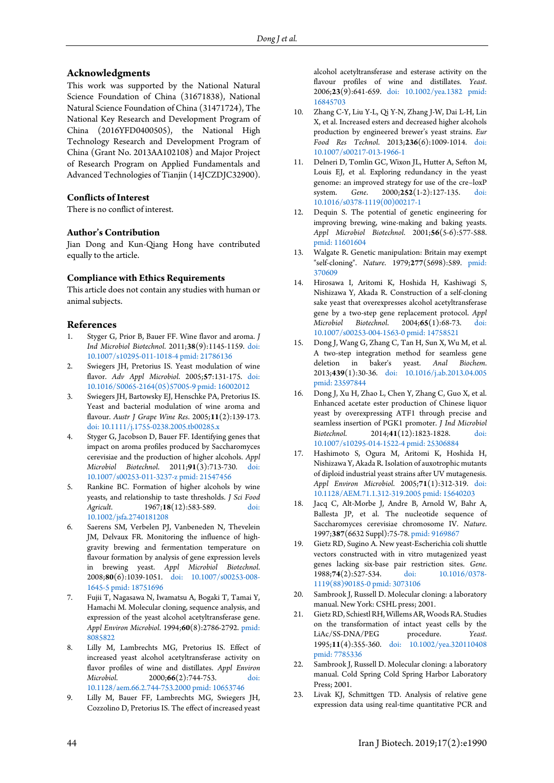# **Acknowledgments**

This work was supported by the National Natural Science Foundation of China (31671838), National Natural Science Foundation of China (31471724), The National Key Research and Development Program of China (2016YFD0400505), the National High Technology Research and Development Program of China (Grant No. 2013AA102108) and Major Project of Research Program on Applied Fundamentals and Advanced Technologies of Tianjin (14JCZDJC32900).

# **Conflicts of Interest**

There is no conflict of interest.

#### **Author's Contribution**

Jian Dong and Kun-Qiang Hong have contributed equally to the article.

### **Compliance with Ethics Requirements**

This article does not contain any studies with human or animal subjects.

# **References**

- <span id="page-6-0"></span>1. Styger G, Prior B, Bauer FF. Wine flavor and aroma. *J Ind Microbiol Biotechnol*. 2011;**38**(9):1145-1159. [doi:](http://dx.doi.org/10.1007/s10295-011-1018-4)  [10.1007/s10295-011-1018-4](http://dx.doi.org/10.1007/s10295-011-1018-4) [pmid: 21786136](www.ncbi.nlm.nih.gov/pubmed/21786136)
- 2. Swiegers JH, Pretorius IS. Yeast modulation of wine flavor. *Adv Appl Microbiol*. 2005;**57**:131-175. [doi:](http://dx.doi.org/10.1016/S0065-2164(05)57005-9)  [10.1016/S0065-2164\(05\)57005-9](http://dx.doi.org/10.1016/S0065-2164(05)57005-9) [pmid: 16002012](www.ncbi.nlm.nih.gov/pubmed/16002012)
- 3. Swiegers JH, Bartowsky EJ, Henschke PA, Pretorius IS. Yeast and bacterial modulation of wine aroma and flavour. *Austr J Grape Wine Res*. 2005;**11**(2):139-173. [doi: 10.1111/j.1755-0238.2005.tb00285.x](http://dx.doi.org/10.1111/j.1755-0238.2005.tb00285.x)
- <span id="page-6-1"></span>4. Styger G, Jacobson D, Bauer FF. Identifying genes that impact on aroma profiles produced by Saccharomyces cerevisiae and the production of higher alcohols. *Appl Microbiol Biotechnol*. 2011;**91**(3):713-730. [doi:](http://dx.doi.org/10.1007/s00253-011-3237-z)  [10.1007/s00253-011-3237-z](http://dx.doi.org/10.1007/s00253-011-3237-z) [pmid: 21547456](www.ncbi.nlm.nih.gov/pubmed/21547456)
- 5. Rankine BC. Formation of higher alcohols by wine yeasts, and relationship to taste thresholds. *J Sci Food Agricult*. 1967;**18**(12):583-589. [doi:](http://dx.doi.org/10.1002/jsfa.2740181208)  [10.1002/jsfa.2740181208](http://dx.doi.org/10.1002/jsfa.2740181208)
- 6. Saerens SM, Verbelen PJ, Vanbeneden N, Thevelein JM, Delvaux FR. Monitoring the influence of highgravity brewing and fermentation temperature on flavour formation by analysis of gene expression levels in brewing yeast. *Appl Microbiol Biotechnol*. 2008;**80**(6):1039-1051. [doi: 10.1007/s00253-008-](http://dx.doi.org/10.1007/s00253-008-1645-5) [1645-5](http://dx.doi.org/10.1007/s00253-008-1645-5) [pmid: 18751696](www.ncbi.nlm.nih.gov/pubmed/18751696)
- <span id="page-6-2"></span>7. Fujii T, Nagasawa N, Iwamatsu A, Bogaki T, Tamai Y, Hamachi M. Molecular cloning, sequence analysis, and expression of the yeast alcohol acetyltransferase gene. *Appl Environ Microbiol*. 1994;**60**(8):2786-2792. [pmid:](www.ncbi.nlm.nih.gov/pubmed/8085822)  [8085822](www.ncbi.nlm.nih.gov/pubmed/8085822)
- <span id="page-6-3"></span>8. Lilly M, Lambrechts MG, Pretorius IS. Effect of increased yeast alcohol acetyltransferase activity on flavor profiles of wine and distillates. *Appl Environ Microbiol*. 2000;**66**(2):744-753. [doi:](http://dx.doi.org/10.1128/aem.66.2.744-753.2000)  [10.1128/aem.66.2.744-753.2000](http://dx.doi.org/10.1128/aem.66.2.744-753.2000) [pmid: 10653746](www.ncbi.nlm.nih.gov/pubmed/10653746)
- <span id="page-6-4"></span>9. Lilly M, Bauer FF, Lambrechts MG, Swiegers JH, Cozzolino D, Pretorius IS. The effect of increased yeast

alcohol acetyltransferase and esterase activity on the flavour profiles of wine and distillates. *Yeast*. 2006;**23**(9):641-659. [doi: 10.1002/yea.1382](http://dx.doi.org/10.1002/yea.1382) [pmid:](www.ncbi.nlm.nih.gov/pubmed/16845703)  [16845703](www.ncbi.nlm.nih.gov/pubmed/16845703)

- <span id="page-6-5"></span>10. Zhang C-Y, Liu Y-L, Qi Y-N, Zhang J-W, Dai L-H, Lin X, et al. Increased esters and decreased higher alcohols production by engineered brewer's yeast strains. *Eur Food Res Technol*. 2013;**236**(6):1009-1014. [doi:](http://dx.doi.org/10.1007/s00217-013-1966-1)  [10.1007/s00217-013-1966-1](http://dx.doi.org/10.1007/s00217-013-1966-1)
- <span id="page-6-6"></span>11. Delneri D, Tomlin GC, Wixon JL, Hutter A, Sefton M, Louis EJ, et al. Exploring redundancy in the yeast genome: an improved strategy for use of the cre–loxP system. *Gene*. 2000;**252**(1-2):127-135. [doi:](http://dx.doi.org/10.1016/s0378-1119(00)00217-1)  [10.1016/s0378-1119\(00\)00217-1](http://dx.doi.org/10.1016/s0378-1119(00)00217-1)
- <span id="page-6-7"></span>12. Dequin S. The potential of genetic engineering for improving brewing, wine-making and baking yeasts. *Appl Microbiol Biotechnol*. 2001;**56**(5-6):577-588. [pmid: 11601604](www.ncbi.nlm.nih.gov/pubmed/11601604)
- <span id="page-6-8"></span>13. Walgate R. Genetic manipulation: Britain may exempt "self-cloning". *Nature*. 1979;**277**(5698):589. [pmid:](www.ncbi.nlm.nih.gov/pubmed/370609)  [370609](www.ncbi.nlm.nih.gov/pubmed/370609)
- <span id="page-6-9"></span>14. Hirosawa I, Aritomi K, Hoshida H, Kashiwagi S, Nishizawa Y, Akada R. Construction of a self-cloning sake yeast that overexpresses alcohol acetyltransferase gene by a two-step gene replacement protocol. *Appl Microbiol Biotechnol*. 2004;**65**(1):68-73. [doi:](http://dx.doi.org/10.1007/s00253-004-1563-0)  [10.1007/s00253-004-1563-0](http://dx.doi.org/10.1007/s00253-004-1563-0) [pmid: 14758521](www.ncbi.nlm.nih.gov/pubmed/14758521)
- <span id="page-6-10"></span>15. Dong J, Wang G, Zhang C, Tan H, Sun X, Wu M, et al. A two-step integration method for seamless gene deletion in baker's yeast. *Anal Biochem*. 2013;**439**(1):30-36. [doi: 10.1016/j.ab.2013.04.005](http://dx.doi.org/10.1016/j.ab.2013.04.005) [pmid: 23597844](www.ncbi.nlm.nih.gov/pubmed/23597844)
- <span id="page-6-11"></span>16. Dong J, Xu H, Zhao L, Chen Y, Zhang C, Guo X, et al. Enhanced acetate ester production of Chinese liquor yeast by overexpressing ATF1 through precise and seamless insertion of PGK1 promoter. *J Ind Microbiol Biotechnol.* 2014;41(12):1823-1828. [10.1007/s10295-014-1522-4](http://dx.doi.org/10.1007/s10295-014-1522-4) [pmid: 25306884](www.ncbi.nlm.nih.gov/pubmed/25306884)
- <span id="page-6-12"></span>17. Hashimoto S, Ogura M, Aritomi K, Hoshida H, Nishizawa Y, Akada R. Isolation of auxotrophic mutants of diploid industrial yeast strains after UV mutagenesis. *Appl Environ Microbiol*. 2005;**71**(1):312-319. [doi:](http://dx.doi.org/10.1128/AEM.71.1.312-319.2005)  [10.1128/AEM.71.1.312-319.2005](http://dx.doi.org/10.1128/AEM.71.1.312-319.2005) [pmid: 15640203](www.ncbi.nlm.nih.gov/pubmed/15640203)
- <span id="page-6-13"></span>18. Jacq C, Alt-Morbe J, Andre B, Arnold W, Bahr A, Ballesta JP, et al. The nucleotide sequence of Saccharomyces cerevisiae chromosome IV. *Nature*. 1997;**387**(6632 Suppl):75-78[. pmid: 9169867](www.ncbi.nlm.nih.gov/pubmed/9169867)
- <span id="page-6-14"></span>19. Gietz RD, Sugino A. New yeast-Escherichia coli shuttle vectors constructed with in vitro mutagenized yeast genes lacking six-base pair restriction sites. *Gene*. 1988;74(2):527-534. doi: [1119\(88\)90185-0](http://dx.doi.org/10.1016/0378-1119(88)90185-0) [pmid: 3073106](www.ncbi.nlm.nih.gov/pubmed/3073106)
- <span id="page-6-15"></span>20. Sambrook J, Russell D. Molecular cloning: a laboratory manual. New York: CSHL press; 2001.
- <span id="page-6-16"></span>21. Gietz RD, Schiestl RH, Willems AR, Woods RA. Studies on the transformation of intact yeast cells by the LiAc/SS-DNA/PEG procedure. *Yeast*. 1995;**11**(4):355-360. [doi: 10.1002/yea.320110408](http://dx.doi.org/10.1002/yea.320110408) [pmid: 7785336](www.ncbi.nlm.nih.gov/pubmed/7785336)
- <span id="page-6-17"></span>22. Sambrook J, Russell D. Molecular cloning: a laboratory manual. Cold Spring Cold Spring Harbor Laboratory Press; 2001.
- <span id="page-6-18"></span>23. Livak KJ, Schmittgen TD. Analysis of relative gene expression data using real-time quantitative PCR and